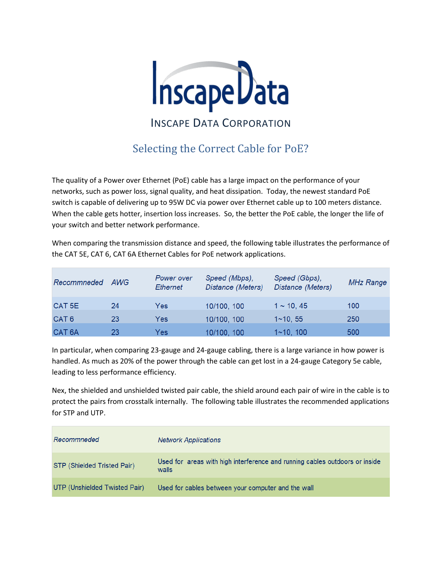

## Selecting the Correct Cable for PoE?

The quality of a Power over Ethernet (PoE) cable has a large impact on the performance of your networks, such as power loss, signal quality, and heat dissipation. Today, the newest standard PoE switch is capable of delivering up to 95W DC via power over Ethernet cable up to 100 meters distance. When the cable gets hotter, insertion loss increases. So, the better the PoE cable, the longer the life of your switch and better network performance.

When comparing the transmission distance and speed, the following table illustrates the performance of the CAT 5E, CAT 6, CAT 6A Ethernet Cables for PoE network applications.

| Recommneded       | AWG | Power over<br>Ethernet | Speed (Mbps),<br>Distance (Meters) | Speed (Gbps),<br>Distance (Meters) | <b>MHz Range</b> |
|-------------------|-----|------------------------|------------------------------------|------------------------------------|------------------|
| CAT <sub>5E</sub> | 24  | Yes                    | 10/100, 100                        | $1 \sim 10, 45$                    | 100              |
| CAT <sub>6</sub>  | 23  | Yes                    | 10/100, 100                        | $1~1$ 10, 55                       | 250              |
| CAT <sub>6A</sub> | 23  | Yes                    | 10/100, 100                        | $1~10$ , $100$                     | 500              |

In particular, when comparing 23-gauge and 24-gauge cabling, there is a large variance in how power is handled. As much as 20% of the power through the cable can get lost in a 24-gauge Category 5e cable, leading to less performance efficiency.

Nex, the shielded and unshielded twisted pair cable, the shield around each pair of wire in the cable is to protect the pairs from crosstalk internally. The following table illustrates the recommended applications for STP and UTP.

| Recommneded                   | <b>Network Applications</b>                                                          |
|-------------------------------|--------------------------------------------------------------------------------------|
| STP (Shielded Tristed Pair)   | Used for areas with high interference and running cables outdoors or inside<br>walls |
| UTP (Unshielded Twisted Pair) | Used for cables between your computer and the wall                                   |